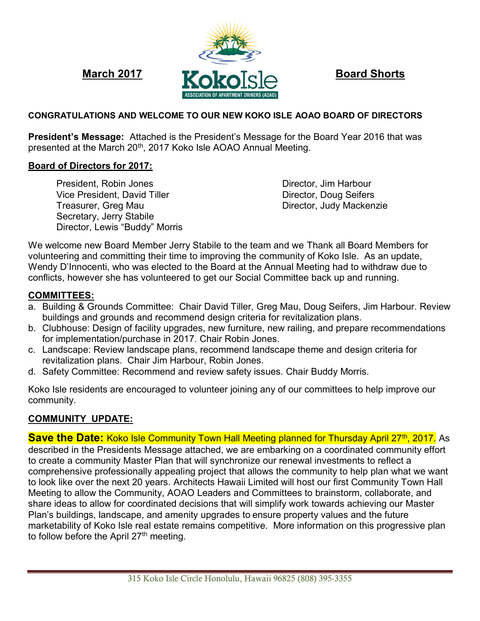

### **CONGRATULATIONS AND WELCOME TO OUR NEW KOKO ISLE AOAO BOARD OF DIRECTORS**

**President's Message:** Attached is the President's Message for the Board Year 2016 that was presented at the March 20<sup>th</sup>, 2017 Koko Isle AOAO Annual Meeting.

### **Board of Directors for 2017:**

President, Robin Jones **Director, Jim Harbour** Vice President, David Tiller **Director, Doug Seifers** Director, Doug Seifers Treasurer, Greg Mau National American Christian Director, Judy Mackenzie Secretary, Jerry Stabile Director, Lewis "Buddy" Morris

We welcome new Board Member Jerry Stabile to the team and we Thank all Board Members for volunteering and committing their time to improving the community of Koko Isle. As an update, Wendy D'Innocenti, who was elected to the Board at the Annual Meeting had to withdraw due to conflicts, however she has volunteered to get our Social Committee back up and running.

#### **COMMITTEES:**

- a. Building & Grounds Committee: Chair David Tiller, Greg Mau, Doug Seifers, Jim Harbour. Review buildings and grounds and recommend design criteria for revitalization plans.
- b. Clubhouse: Design of facility upgrades, new furniture, new railing, and prepare recommendations for implementation/purchase in 2017. Chair Robin Jones.
- c. Landscape: Review landscape plans, recommend landscape theme and design criteria for revitalization plans. Chair Jim Harbour, Robin Jones.
- d. Safety Committee: Recommend and review safety issues. Chair Buddy Morris.

Koko Isle residents are encouraged to volunteer joining any of our committees to help improve our community.

### **COMMUNITY UPDATE:**

**Save the Date:** Koko Isle Community Town Hall Meeting planned for Thursday April 27<sup>th</sup>, 2017. As described in the Presidents Message attached, we are embarking on a coordinated community effort to create a community Master Plan that will synchronize our renewal investments to reflect a comprehensive professionally appealing project that allows the community to help plan what we want to look like over the next 20 years. Architects Hawaii Limited will host our first Community Town Hall Meeting to allow the Community, AOAO Leaders and Committees to brainstorm, collaborate, and share ideas to allow for coordinated decisions that will simplify work towards achieving our Master Plan's buildings, landscape, and amenity upgrades to ensure property values and the future marketability of Koko Isle real estate remains competitive. More information on this progressive plan to follow before the April 27<sup>th</sup> meeting.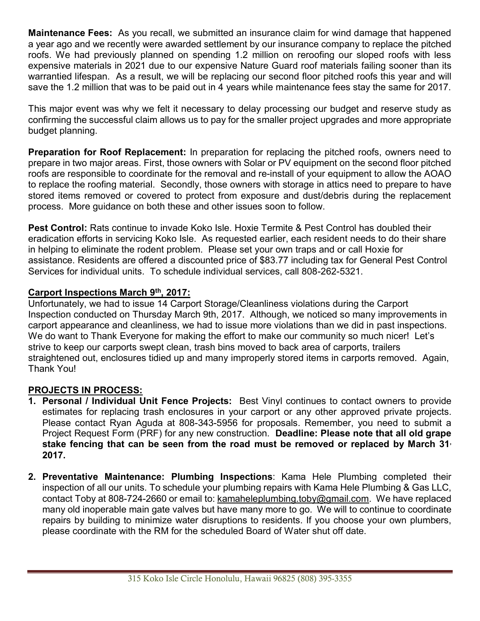**Maintenance Fees:** As you recall, we submitted an insurance claim for wind damage that happened a year ago and we recently were awarded settlement by our insurance company to replace the pitched roofs. We had previously planned on spending 1.2 million on reroofing our sloped roofs with less expensive materials in 2021 due to our expensive Nature Guard roof materials failing sooner than its warrantied lifespan. As a result, we will be replacing our second floor pitched roofs this year and will save the 1.2 million that was to be paid out in 4 years while maintenance fees stay the same for 2017.

This major event was why we felt it necessary to delay processing our budget and reserve study as confirming the successful claim allows us to pay for the smaller project upgrades and more appropriate budget planning.

**Preparation for Roof Replacement:** In preparation for replacing the pitched roofs, owners need to prepare in two major areas. First, those owners with Solar or PV equipment on the second floor pitched roofs are responsible to coordinate for the removal and re-install of your equipment to allow the AOAO to replace the roofing material. Secondly, those owners with storage in attics need to prepare to have stored items removed or covered to protect from exposure and dust/debris during the replacement process. More guidance on both these and other issues soon to follow.

**Pest Control:** Rats continue to invade Koko Isle. Hoxie Termite & Pest Control has doubled their eradication efforts in servicing Koko Isle. As requested earlier, each resident needs to do their share in helping to eliminate the rodent problem. Please set your own traps and or call Hoxie for assistance. Residents are offered a discounted price of \$83.77 including tax for General Pest Control Services for individual units. To schedule individual services, call 808-262-5321.

## **Carport Inspections March 9th, 2017:**

Unfortunately, we had to issue 14 Carport Storage/Cleanliness violations during the Carport Inspection conducted on Thursday March 9th, 2017. Although, we noticed so many improvements in carport appearance and cleanliness, we had to issue more violations than we did in past inspections. We do want to Thank Everyone for making the effort to make our community so much nicer! Let's strive to keep our carports swept clean, trash bins moved to back area of carports, trailers straightened out, enclosures tidied up and many improperly stored items in carports removed. Again, Thank You!

# **PROJECTS IN PROCESS:**

- **1. Personal / Individual Unit Fence Projects:** Best Vinyl continues to contact owners to provide estimates for replacing trash enclosures in your carport or any other approved private projects. Please contact Ryan Aguda at 808-343-5956 for proposals. Remember, you need to submit a Project Request Form (PRF) for any new construction. **Deadline: Please note that all old grape stake fencing that can be seen from the road must be removed or replaced by March 31, 2017.**
- **2. Preventative Maintenance: Plumbing Inspections**: Kama Hele Plumbing completed their inspection of all our units. To schedule your plumbing repairs with Kama Hele Plumbing & Gas LLC, contact Toby at 808-724-2660 or email to: [kamaheleplumbing.toby@gmail.com.](mailto:kamaheleplumbing.toby@gmail.com) We have replaced many old inoperable main gate valves but have many more to go. We will to continue to coordinate repairs by building to minimize water disruptions to residents. If you choose your own plumbers, please coordinate with the RM for the scheduled Board of Water shut off date.